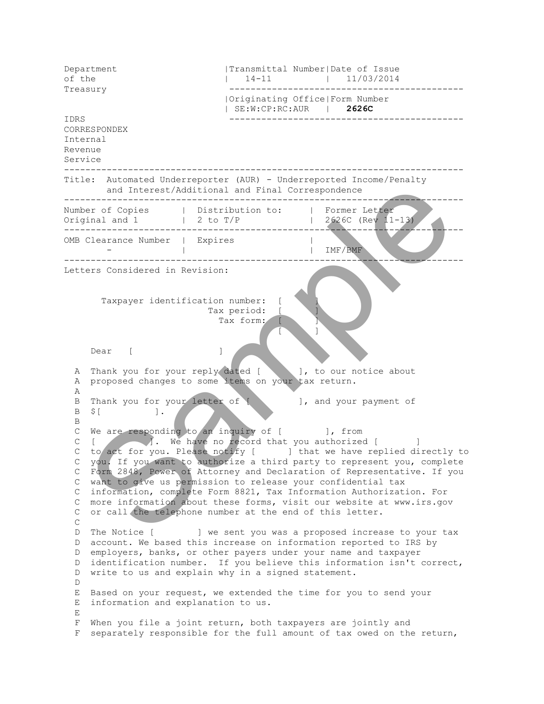Department |Transmittal Number|Date of Issue of the  $| 14-11 | 11/03/2014$ Treasury -------------------------------------------- |Originating Office|Form Number | SE:W:CP:RC:AUR | **2626C**  IDRS -------------------------------------------- CORRESPONDEX Internal Revenue Service --------------------------------------------------------------------------- Title: Automated Underreporter (AUR) - Underreported Income/Penalty and Interest/Additional and Final Correspondence --------------------------------------------------------------------------- Number of Copies | Distribution to: | Former Letter Original and  $1$  | 2 to T/P | 2626C (Rev 11-13) --------------------------------------------------------------------------- OMB Clearance Number | Expires | - | | IMF/BMF --------------------------------------------------------------------------- Letters Considered in Revision: Taxpayer identification number: [ Tax period: Tax form: experimental contracts of the state of the state of the state of the state of the state of the state of the state of Dear [ ] A Thank you for your reply dated [ ], to our notice about A proposed changes to some items on your tax return. A B Thank you for your letter of [ ], and your payment of B  $\frac{1}{2}$  [ ]. B C We are responding to an inquiry of  $\lceil$   $\rceil$ , from C [  $\blacksquare$  ]. We have no record that you authorized [ ] C to act for you. Please notify [ ] that we have replied directly to C you. If you want to authorize a third party to represent you, complete C Form 2848, Power of Attorney and Declaration of Representative. If you C want to give us permission to release your confidential tax C information, complete Form 8821, Tax Information Authorization. For C more information about these forms, visit our website at www.irs.gov C or call the telephone number at the end of this letter.  $\mathsf{C}$ D The Notice [ ] we sent you was a proposed increase to your tax D account. We based this increase on information reported to IRS by D employers, banks, or other payers under your name and taxpayer D identification number. If you believe this information isn't correct, D write to us and explain why in a signed statement. D E Based on your request, we extended the time for you to send your E information and explanation to us. E F When you file a joint return, both taxpayers are jointly and F separately responsible for the full amount of tax owed on the return, and Interest/Additional and Final Correspondence<br>
er of Copies<br>
Thal and 12 to 7/2<br>
Clearne Number 12 to 7/2<br>
Clearne Number<br>
Clearne Number 12<br>
Clearne Changes to some test of the state of the state of the state of the s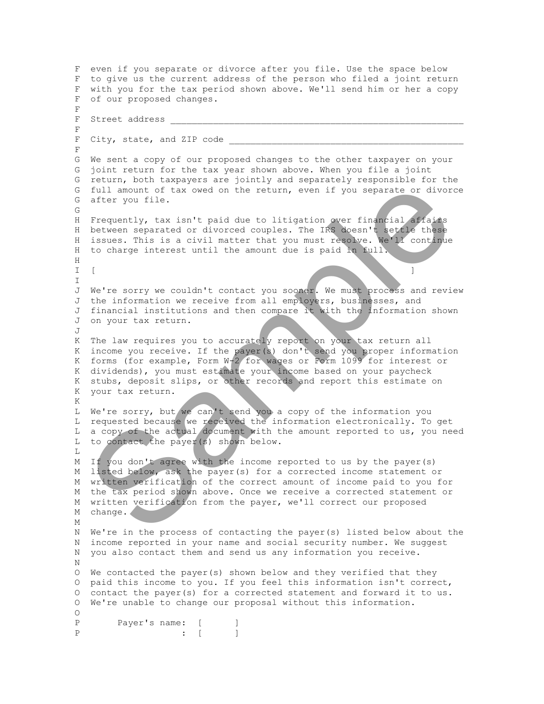```
 F even if you separate or divorce after you file. Use the space below
  F to give us the current address of the person who filed a joint return 
  F with you for the tax period shown above. We'll send him or her a copy 
  F of our proposed changes. 
  F 
 F Street address
  F 
 F City, state, and ZIP code
  F 
  G We sent a copy of our proposed changes to the other taxpayer on your 
  G joint return for the tax year shown above. When you file a joint 
  G return, both taxpayers are jointly and separately responsible for the 
  G full amount of tax owed on the return, even if you separate or divorce 
  G after you file.
  G 
  H Frequently, tax isn't paid due to litigation over financial affairs
 H between separated or divorced couples. The IRS doesn't settle these
H issues. This is a civil matter that you must resolve. We'll continue
  H to charge interest until the amount due is paid in full. 
  H 
\blacksquare [ \blacksquare I 
 J We're sorry we couldn't contact you sooner. We must process and review
  J the information we receive from all employers, businesses, and 
  J financial institutions and then compare it with the information shown 
  J on your tax return.
 T_{\rm d} K The law requires you to accurately report on your tax return all 
  K income you receive. If the payer(s) don't send you proper information 
  K forms (for example, Form W-2 for wages or Form 1099 for interest or
  K dividends), you must estimate your income based on your paycheck 
  K stubs, deposit slips, or other records and report this estimate on 
  K your tax return. 
  K 
  L We're sorry, but we can't send you a copy of the information you 
  L requested because we received the information electronically. To get 
 L a copy of the actual document with the amount reported to us, you need
  L to contact the payer(s) shown below. 
 T.
  M If you don't agree with the income reported to us by the payer(s) 
  M listed below, ask the payer(s) for a corrected income statement or 
  M written verification of the correct amount of income paid to you for 
  M the tax period shown above. Once we receive a corrected statement or 
  M written verification from the payer, we'll correct our proposed
 M change.
  M 
  N We're in the process of contacting the payer(s) listed below about the 
  N income reported in your name and social security number. We suggest
  N you also contact them and send us any information you receive. 
  N 
  O We contacted the payer(s) shown below and they verified that they 
  O paid this income to you. If you feel this information isn't correct, 
  O contact the payer(s) for a corrected statement and forward it to us. 
  O We're unable to change our proposal without this information. 
 \OmegaP Payer's name: [ ]
 P : [ ]
    full amount of tax owed on the return, even if you separate or divored<br>after you iie.<br>The question with the state of divorced couples. The IFA coesing the state of divorced separated or divorced couples. The IFA coesn't se
```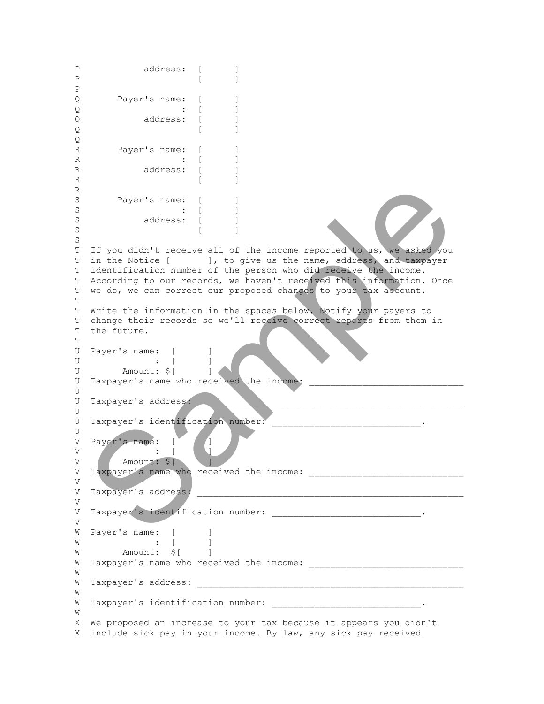```
P address: [ ]
P [ ]
  P 
 Q Payer's name: [ ]
 \Omega : [ ]
 Q address: [ ]
Q [ ]
  Q 
 R Payer's name: [ ]
 R : [ ]
 R address: [ ]
R [ ]
  R 
 S Payer's name: [ ]
 S : [ ]
 S address: [ ]
S [ ]
  S 
  T If you didn't receive all of the income reported to us, we asked you 
  T in the Notice [ ], to give us the name, address, and taxpayer 
  T identification number of the person who did receive the income.
  T According to our records, we haven't received this information. Once 
  T we do, we can correct our proposed changes to your tax account.
  T 
  T Write the information in the spaces below. Notify your payers to 
  T change their records so we'll receive correct reports from them in 
  T the future.
  T 
 U Payer's name: [ ]
 U : [ ]
 U Amount: $[ ]
 U Taxpayer's name who received the income:
  U 
 U Taxpayer's address:
  U 
 U Taxpayer's identification number:
  U 
 V Payer's name: [
V : [ \Box V Amount: $[ ] 
  V Taxpayer's name who received the income: _____________________________ 
  V 
  V Taxpayer's address: __________________________________________________ 
  V 
 V Taxpayer's identification number: _______________________________.
  V 
 W Payer's name: [ ]
 W : [W Amount: \varsigma[ ]
  W Taxpayer's name who received the income: _____________________________ 
  W 
  W Taxpayer's address: __________________________________________________ 
  W 
 W Taxpayer's identification number: ________________________________.
  W 
  X We proposed an increase to your tax because it appears you didn't 
  X include sick pay in your income. By law, any sick pay received 
   Payer's name:<br>
\begin{bmatrix} 1 & 1 & 1 \\ 1 & 1 & 1 \\ 1 & 1 & 1 \\ 1 & 1 & 1 \\ 1 & 1 & 1 \\ 1 & 1 & 1 \\ 1 & 1 & 1 \\ 1 & 1 & 1 \\ 1 & 1 & 1 \\ 1 & 1 & 1 \\ 1 & 1 & 1 \\ 1 & 1 & 1 \\ 1 & 1 & 1 \\ 1 & 1 & 1 \\ 1 & 1 & 1 \\ 1 & 1 & 1 \\ 1 & 1 & 1 \\ 1 & 1 & 1 \\ 1 & 1 & 1 \\ 1 & 1 & 1 \\ 1 & 1 & 1 \\ 1 & 1 & 1 \\
```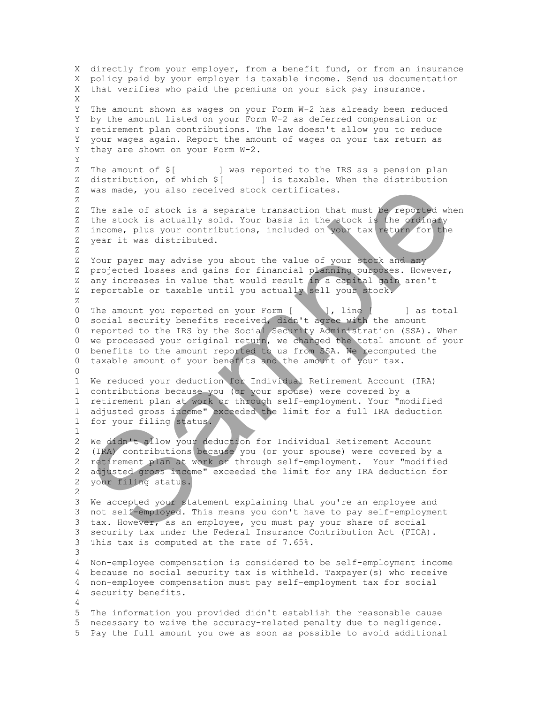X directly from your employer, from a benefit fund, or from an insurance X policy paid by your employer is taxable income. Send us documentation X that verifies who paid the premiums on your sick pay insurance. X Y The amount shown as wages on your Form W-2 has already been reduced Y by the amount listed on your Form W-2 as deferred compensation or Y retirement plan contributions. The law doesn't allow you to reduce Y your wages again. Report the amount of wages on your tax return as Y they are shown on your Form W-2. Y Z The amount of \$[ ] was reported to the IRS as a pension plan Z distribution, of which  $\S$ [ ] is taxable. When the distribution Z was made, you also received stock certificates. Z Z The sale of stock is a separate transaction that must be reported when Z the stock is actually sold. Your basis in the stock is the ordinary Z income, plus your contributions, included on your tax return for the Z year it was distributed. Z Z Your payer may advise you about the value of your stock and any Z projected losses and gains for financial planning purposes. However, Z any increases in value that would result in a capital gain aren't Z reportable or taxable until you actually sell your stock. Z 0 The amount you reported on your Form [ ], line [ ] as total 0 social security benefits received, didn't agree with the amount 0 reported to the IRS by the Social Security Administration (SSA). When 0 we processed your original return, we changed the total amount of your 0 benefits to the amount reported to us from SSA. We recomputed the 0 taxable amount of your benefits and the amount of your tax.  $\Omega$  1 We reduced your deduction for Individual Retirement Account (IRA) 1 contributions because you (or your spouse) were covered by a 1 retirement plan at work or through self-employment. Your "modified 1 adjusted gross income" exceeded the limit for a full IRA deduction 1 for your filing status. 1 2 We didn't allow your deduction for Individual Retirement Account 2 (IRA) contributions because you (or your spouse) were covered by a 2 retirement plan at work or through self-employment. Your "modified 2 adjusted gross income" exceeded the limit for any IRA deduction for 2 your filing status. 2 3 We accepted your statement explaining that you're an employee and 3 not self-employed. This means you don't have to pay self-employment 3 tax. However, as an employee, you must pay your share of social 3 security tax under the Federal Insurance Contribution Act (FICA). 3 This tax is computed at the rate of 7.65%. 3 4 Non-employee compensation is considered to be self-employment income 4 because no social security tax is withheld. Taxpayer(s) who receive 4 non-employee compensation must pay self-employment tax for social 4 security benefits. 4 5 The information you provided didn't establish the reasonable cause 5 necessary to waive the accuracy-related penalty due to negligence. 5 Pay the full amount you owe as soon as possible to avoid additional was nade, you also received stock certificates.<br>The sale of stock is a separate transaction that must he reported when<br>the stock is a separate transaction that must he reported when<br>the stock is actually sold. Your basis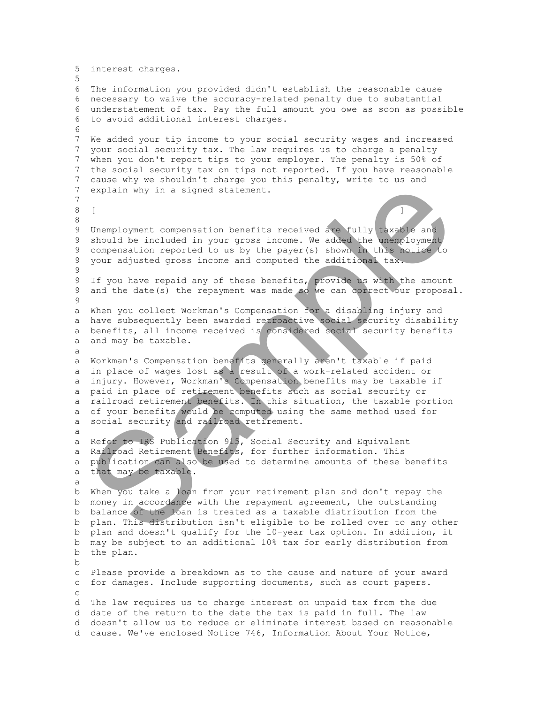```
 5 interest charges. 
  5 
  6 The information you provided didn't establish the reasonable cause 
  6 necessary to waive the accuracy-related penalty due to substantial 
  6 understatement of tax. Pay the full amount you owe as soon as possible 
  6 to avoid additional interest charges. 
  6 
  7 We added your tip income to your social security wages and increased 
  7 your social security tax. The law requires us to charge a penalty 
  7 when you don't report tips to your employer. The penalty is 50% of 
  7 the social security tax on tips not reported. If you have reasonable 
  7 cause why we shouldn't charge you this penalty, write to us and
  7 explain why in a signed statement. 
  7 
8 \tbinom{1}{2} 8 
  9 Unemployment compensation benefits received are fully taxable and 
  9 should be included in your gross income. We added the unemployment 
  9 compensation reported to us by the payer(s) shown in this notice to
  9 your adjusted gross income and computed the additional tax.
  9 
 9 If you have repaid any of these benefits, provide us with the amount
 9 and the date(s) the repayment was made so we can correct our proposal.
  9 
  a When you collect Workman's Compensation for a disabling injury and 
  a have subsequently been awarded retroactive social security disability 
  a benefits, all income received is considered social security benefits 
  a and may be taxable.
  a 
  a Workman's Compensation benefits generally aren't taxable if paid 
  a in place of wages lost as a result of a work-related accident or 
  a injury. However, Workman's Compensation benefits may be taxable if 
  a paid in place of retirement benefits such as social security or
  a railroad retirement benefits. In this situation, the taxable portion 
  a of your benefits would be computed using the same method used for 
 a social security and railroad retirement.
  a 
  a Refer to IRS Publication 915, Social Security and Equivalent 
 a Railroad Retirement Benefits, for further information. This
  a publication can also be used to determine amounts of these benefits
  a that may be taxable. 
  a 
  b When you take a loan from your retirement plan and don't repay the 
  b money in accordance with the repayment agreement, the outstanding 
  b balance of the loan is treated as a taxable distribution from the 
  b plan. This distribution isn't eligible to be rolled over to any other 
  b plan and doesn't qualify for the 10-year tax option. In addition, it 
  b may be subject to an additional 10% tax for early distribution from
  b the plan. 
  b 
  c Please provide a breakdown as to the cause and nature of your award
  c for damages. Include supporting documents, such as court papers. 
  c 
  d The law requires us to charge interest on unpaid tax from the due 
  d date of the return to the date the tax is paid in full. The law
  d doesn't allow us to reduce or eliminate interest based on reasonable 
  d cause. We've enclosed Notice 746, Information About Your Notice, 
    explain why in a signed statement.<br>
Themployment compensation benefits received are Yully taxasles and<br>
should be included in your gross income. We added the website<br>
compensation reported to us by the payer(s) shown in th
```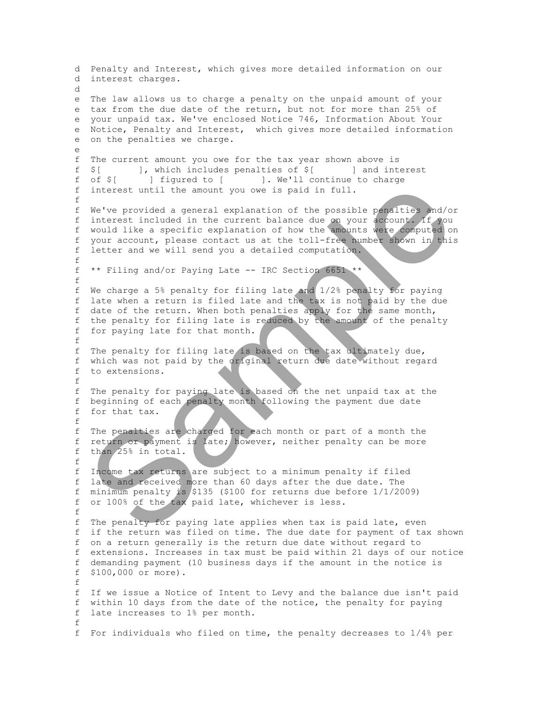d Penalty and Interest, which gives more detailed information on our d interest charges. d e The law allows us to charge a penalty on the unpaid amount of your e tax from the due date of the return, but not for more than 25% of e your unpaid tax. We've enclosed Notice 746, Information About Your e Notice, Penalty and Interest, which gives more detailed information e on the penalties we charge. e f The current amount you owe for the tax year shown above is f \$[ ], which includes penalties of \$[ ] and interest f of \$[ ] figured to [ ]. We'll continue to charge f interest until the amount you owe is paid in full. f f We've provided a general explanation of the possible penalties and/or f interest included in the current balance due on your account. If you f would like a specific explanation of how the amounts were computed on f your account, please contact us at the toll-free number shown in this f letter and we will send you a detailed computation. f f \*\* Filing and/or Paying Late -- IRC Section 6651 \*\* f f We charge a 5% penalty for filing late and 1/2% penalty for paying f late when a return is filed late and the tax is not paid by the due f date of the return. When both penalties apply for the same month, f the penalty for filing late is reduced by the amount of the penalty f for paying late for that month. f f The penalty for filing late is based on the tax ultimately due, f which was not paid by the original return due date without regard f to extensions. f f The penalty for paying late is based on the net unpaid tax at the f beginning of each penalty month following the payment due date f for that tax. f f The penalties are charged for each month or part of a month the f return or payment is late; however, neither penalty can be more f than 25% in total. f f Income tax returns are subject to a minimum penalty if filed f late and received more than 60 days after the due date. The f minimum penalty is \$135 (\$100 for returns due before  $1/1/2009$ ) f or 100% of the tax paid late, whichever is less. f f The penalty for paying late applies when tax is paid late, even f if the return was filed on time. The due date for payment of tax shown f on a return generally is the return due date without regard to f extensions. Increases in tax must be paid within 21 days of our notice f demanding payment (10 business days if the amount in the notice is f \$100,000 or more). f f If we issue a Notice of Intent to Levy and the balance due isn't paid f within 10 days from the date of the notice, the penalty for paying f late increases to 1% per month. f f For individuals who filed on time, the penalty decreases to 1/4% per interest until the amount you over is paid in full.<br>We've provided a general syphemation of the possible pensition and sympatric properties included in the current balance due on your deposite of 400<br>would like a specific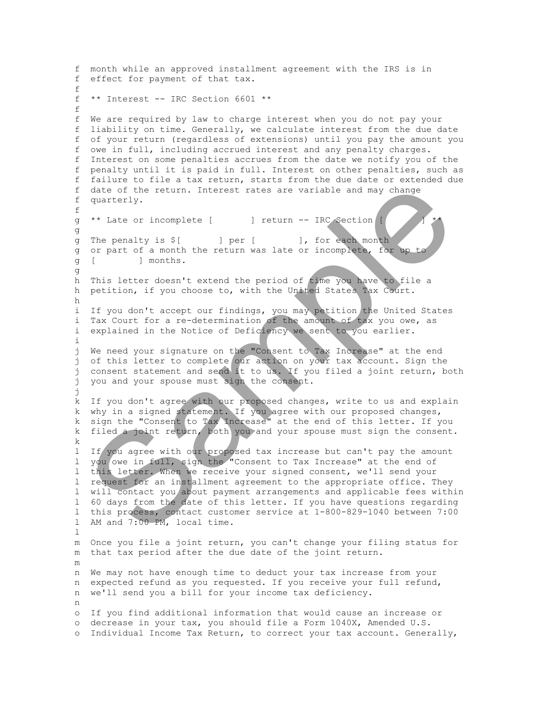f month while an approved installment agreement with the IRS is in f effect for payment of that tax. f f \*\* Interest -- IRC Section 6601 \*\* f f We are required by law to charge interest when you do not pay your f liability on time. Generally, we calculate interest from the due date f of your return (regardless of extensions) until you pay the amount you f owe in full, including accrued interest and any penalty charges. f Interest on some penalties accrues from the date we notify you of the f penalty until it is paid in full. Interest on other penalties, such as f failure to file a tax return, starts from the due date or extended due f date of the return. Interest rates are variable and may change f quarterly. f g \*\* Late or incomplete [ ] return -- IRC Section [ g g The penalty is \$[ ] per [ ], for each month g or part of a month the return was late or incomplete, for up g [ ] months. g h This letter doesn't extend the period of time you have to file a h petition, if you choose to, with the United States Tax Court. h i If you don't accept our findings, you may petition the United States i Tax Court for a re-determination of the amount of tax you owe, as i explained in the Notice of Deficiency we sent to you earlier. i j We need your signature on the "Consent to Tax Increase" at the end j of this letter to complete our action on your tax account. Sign the j consent statement and send it to us. If you filed a joint return, both j you and your spouse must sign the consent. j k If you don't agree with our proposed changes, write to us and explain k why in a signed statement. If you agree with our proposed changes, k sign the "Consent to Tax Increase" at the end of this letter. If you k filed a joint return, both you and your spouse must sign the consent. k l If you agree with our proposed tax increase but can't pay the amount l you owe in full, sign the "Consent to Tax Increase" at the end of l this letter. When we receive your signed consent, we'll send your l request for an installment agreement to the appropriate office. They l will contact you about payment arrangements and applicable fees within l 60 days from the date of this letter. If you have questions regarding l this process, contact customer service at 1-800-829-1040 between 7:00 l AM and 7:00 PM, local time.  $\mathbb{L}$  m Once you file a joint return, you can't change your filing status for m that tax period after the due date of the joint return. m n We may not have enough time to deduct your tax increase from your n expected refund as you requested. If you receive your full refund, n we'll send you a bill for your income tax deficiency. n o If you find additional information that would cause an increase or o decrease in your tax, you should file a Form 1040X, Amended U.S. o Individual Income Tax Return, to correct your tax account. Generally, date of the return. Interest rates are variable and may change<br>quarterly.<br>The penalty is  $\hat{s}(i)$  l per  $[i]$ . Interest rates are variable and may change<br>or lead in complete  $[i]$  l return  $-$  IRC exchange<br>of part of a month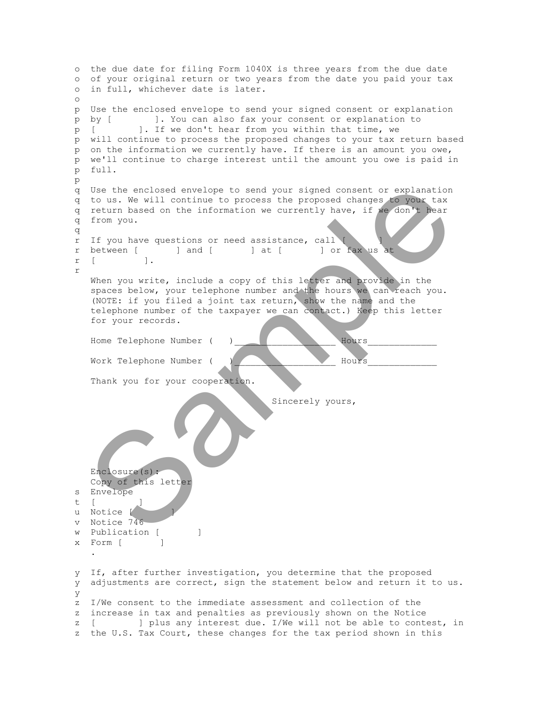```
 o the due date for filing Form 1040X is three years from the due date
  o of your original return or two years from the date you paid your tax 
  o in full, whichever date is later. 
  o 
  p Use the enclosed envelope to send your signed consent or explanation 
  p by [ ]. You can also fax your consent or explanation to 
  p [ ]. If we don't hear from you within that time, we 
  p will continue to process the proposed changes to your tax return based 
  p on the information we currently have. If there is an amount you owe, 
  p we'll continue to charge interest until the amount you owe is paid in 
  p full. 
  p 
  q Use the enclosed envelope to send your signed consent or explanation 
  q to us. We will continue to process the proposed changes to your tax
  q return based on the information we currently have, if we don't hear
  q from you. 
  q 
  r If you have questions or need assistance, call [ ] 
 r between [ ] and [ ] at [ ] or fax us at
  r [ ]. 
  r 
      When you write, include a copy of this letter and provide in the 
      spaces below, your telephone number and the hours we can reach you.
      (NOTE: if you filed a joint tax return, show the name and the 
      telephone number of the taxpayer we can contact.) Keep this letter 
      for your records. 
      Home Telephone Number ( )___________________ Hours_____________ 
      Work Telephone Number ( )___________________ Hours_____________ 
     Thank you for your cooperation.
                                           Sincerely yours, 
      Enclosure(s): 
      Copy of this letter
  s Envelope 
 t \lceilu Notice [
  v Notice 746 
 w Publication [ ]
 x Form [ ]
 . 
  y If, after further investigation, you determine that the proposed 
  y adjustments are correct, sign the statement below and return it to us. 
  y 
  z I/We consent to the immediate assessment and collection of the 
  z increase in tax and penalties as previously shown on the Notice
  z [ ] plus any interest due. I/We will not be able to contest, in
  z the U.S. Tax Court, these changes for the tax period shown in this 
    Use the enclosed envelope to send over signed consent or explanation<br>to us. We will continue to process the proposed changes are proposed to the two months return based on the information we currently have, if we contribut
```